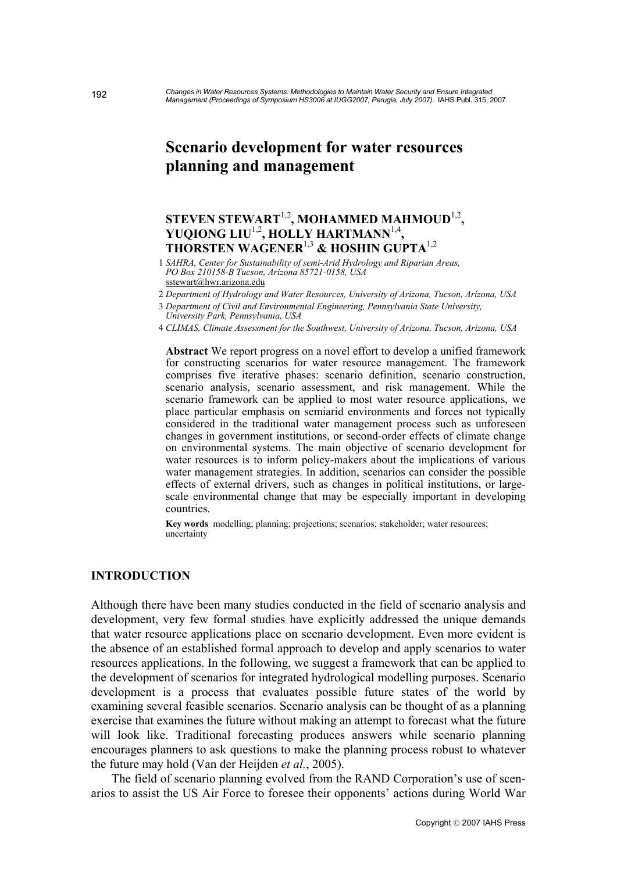# **Scenario development for water resources planning and management**

## STEVEN STEWART<sup>1,2</sup>, MOHAMMED MAHMOUD<sup>1,2</sup>, **YUQIONG LIU**1,2**, HOLLY HARTMANN**1,4**, THORSTEN WAGENER**1,3 **& HOSHIN GUPTA**1,2

1 *SAHRA, Center for Sustainability of semi-Arid Hydrology and Riparian Areas, PO Box 210158-B Tucson, Arizona 85721-0158, USA*  sstewart@hwr.arizona.edu

2 *Department of Hydrology and Water Resources, University of Arizona, Tucson, Arizona, USA* 

3 *Department of Civil and Environmental Engineering, Pennsylvania State University, University Park, Pennsylvania, USA* 

4 *[CLIMAS, Climate Assessm](mailto:sstewart@hwr.arizona.edu)ent for the Southwest, University of Arizona, Tucson, Arizona, USA* 

**Abstract** We report progress on a novel effort to develop a unified framework for constructing scenarios for water resource management. The framework comprises five iterative phases: scenario definition, scenario construction, scenario analysis, scenario assessment, and risk management. While the scenario framework can be applied to most water resource applications, we place particular emphasis on semiarid environments and forces not typically considered in the traditional water management process such as unforeseen changes in government institutions, or second-order effects of climate change on environmental systems. The main objective of scenario development for water resources is to inform policy-makers about the implications of various water management strategies. In addition, scenarios can consider the possible effects of external drivers, such as changes in political institutions, or largescale environmental change that may be especially important in developing countries.

**Key words** modelling; planning; projections; scenarios; stakeholder; water resources; uncertainty

## **INTRODUCTION**

Although there have been many studies conducted in the field of scenario analysis and development, very few formal studies have explicitly addressed the unique demands that water resource applications place on scenario development. Even more evident is the absence of an established formal approach to develop and apply scenarios to water resources applications. In the following, we suggest a framework that can be applied to the development of scenarios for integrated hydrological modelling purposes. Scenario development is a process that evaluates possible future states of the world by examining several feasible scenarios. Scenario analysis can be thought of as a planning exercise that examines the future without making an attempt to forecast what the future will look like. Traditional forecasting produces answers while scenario planning encourages planners to ask questions to make the planning process robust to whatever the future may hold (Van der Heijden *et al.*, 2005).

 The field of scenario planning evolved from the RAND Corporation's use of scenarios to assist the US Air Force to foresee their opponents' actions during World War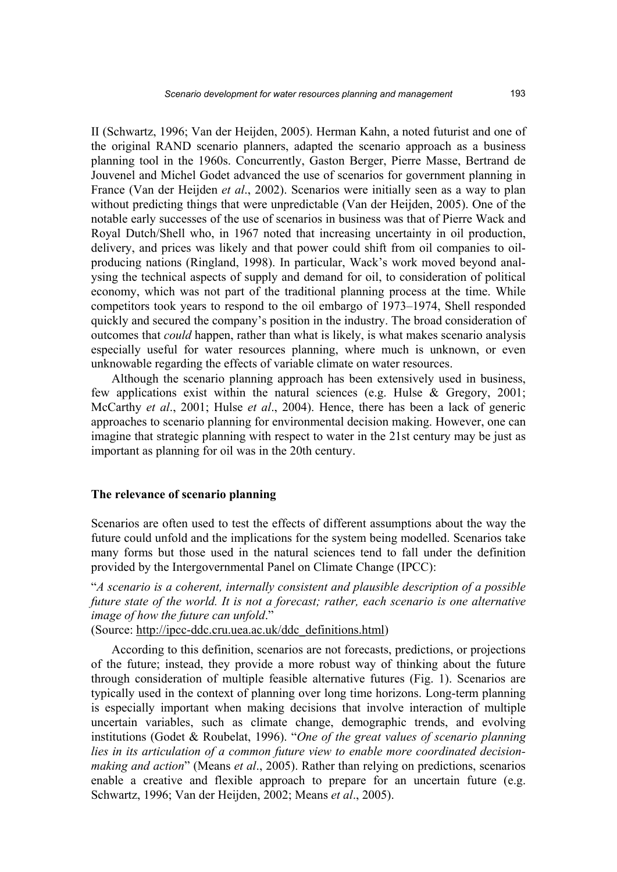II (Schwartz, 1996; Van der Heijden, 2005). Herman Kahn, a noted futurist and one of the original RAND scenario planners, adapted the scenario approach as a business planning tool in the 1960s. Concurrently, Gaston Berger, Pierre Masse, Bertrand de Jouvenel and Michel Godet advanced the use of scenarios for government planning in France (Van der Heijden *et al*., 2002). Scenarios were initially seen as a way to plan without predicting things that were unpredictable (Van der Heijden, 2005). One of the notable early successes of the use of scenarios in business was that of Pierre Wack and Royal Dutch/Shell who, in 1967 noted that increasing uncertainty in oil production, delivery, and prices was likely and that power could shift from oil companies to oilproducing nations (Ringland, 1998). In particular, Wack's work moved beyond analysing the technical aspects of supply and demand for oil, to consideration of political economy, which was not part of the traditional planning process at the time. While competitors took years to respond to the oil embargo of 1973–1974, Shell responded quickly and secured the company's position in the industry. The broad consideration of outcomes that *could* happen, rather than what is likely, is what makes scenario analysis especially useful for water resources planning, where much is unknown, or even unknowable regarding the effects of variable climate on water resources.

 Although the scenario planning approach has been extensively used in business, few applications exist within the natural sciences (e.g. Hulse & Gregory, 2001; McCarthy *et al*., 2001; Hulse *et al*., 2004). Hence, there has been a lack of generic approaches to scenario planning for environmental decision making. However, one can imagine that strategic planning with respect to water in the 21st century may be just as important as planning for oil was in the 20th century.

#### **The relevance of scenario planning**

Scenarios are often used to test the effects of different assumptions about the way the future could unfold and the implications for the system being modelled. Scenarios take many forms but those used in the natural sciences tend to fall under the definition provided by the Intergovernmental Panel on Climate Change (IPCC):

"*A scenario is a coherent, internally consistent and plausible description of a possible future state of the world. It is not a forecast; rather, each scenario is one alternative image of how the future can unfold*."

(Source: http://ipcc-ddc.cru.uea.ac.uk/ddc\_definitions.html)

 According to this definition, scenarios are not forecasts, predictions, or projections of the future; instead, they provide a more robust way of thinking about the future through consideration of multiple feasible alternative futures (Fig. 1). Scenarios are typically used in the context of planning over long time horizons. Long-term planning is especially important when making decisions that involve interaction of multiple uncertain variables, such as climate change, demographic trends, and evolving institutions (Godet & Roubelat, 1996). "*One of the great values of scenario planning lies in its articulation of a common future view to enable more coordinated decisionmaking and action*" (Means *et al*., 2005). Rather than relying on predictions, scenarios enable a creative and flexible approach to prepare for an uncertain future (e.g. Schwartz, 1996; Van der Heijden, 2002; Means *et al*., 2005).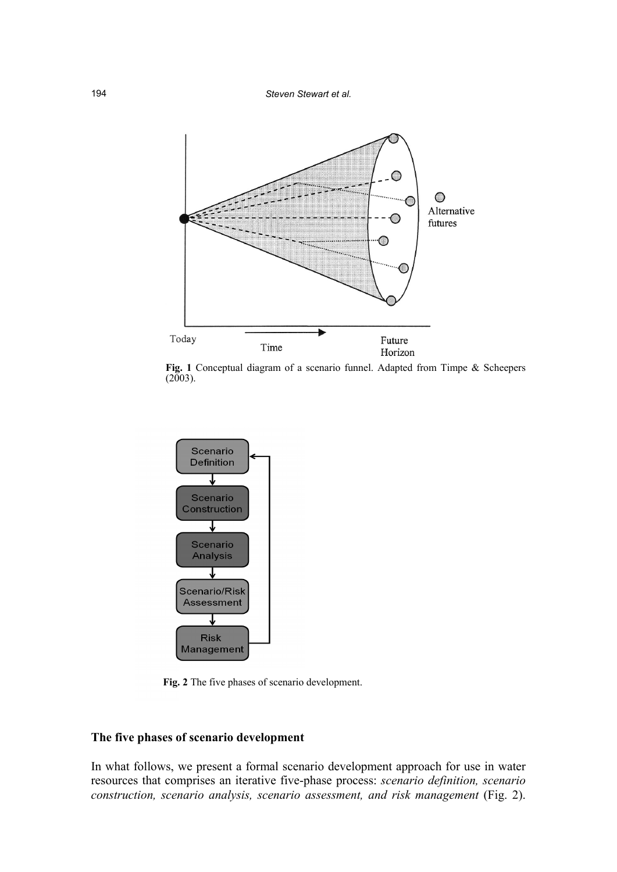

Fig. 1 Conceptual diagram of a scenario funnel. Adapted from Timpe & Scheepers  $(2003)$ .



**Fig. 2** The five phases of scenario development.

### **The five phases of scenario development**

In what follows, we present a formal scenario development approach for use in water resources that comprises an iterative five-phase process: *scenario definition, scenario construction, scenario analysis, scenario assessment, and risk management* (Fig. 2).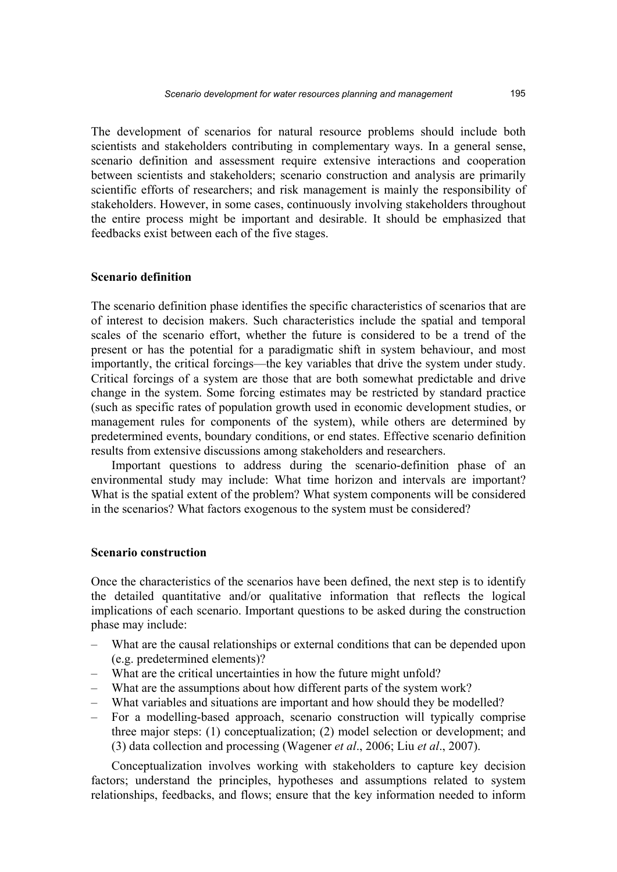The development of scenarios for natural resource problems should include both scientists and stakeholders contributing in complementary ways. In a general sense, scenario definition and assessment require extensive interactions and cooperation between scientists and stakeholders; scenario construction and analysis are primarily scientific efforts of researchers; and risk management is mainly the responsibility of stakeholders. However, in some cases, continuously involving stakeholders throughout the entire process might be important and desirable. It should be emphasized that feedbacks exist between each of the five stages.

#### **Scenario definition**

The scenario definition phase identifies the specific characteristics of scenarios that are of interest to decision makers. Such characteristics include the spatial and temporal scales of the scenario effort, whether the future is considered to be a trend of the present or has the potential for a paradigmatic shift in system behaviour, and most importantly, the critical forcings—the key variables that drive the system under study. Critical forcings of a system are those that are both somewhat predictable and drive change in the system. Some forcing estimates may be restricted by standard practice (such as specific rates of population growth used in economic development studies, or management rules for components of the system), while others are determined by predetermined events, boundary conditions, or end states. Effective scenario definition results from extensive discussions among stakeholders and researchers.

 Important questions to address during the scenario-definition phase of an environmental study may include: What time horizon and intervals are important? What is the spatial extent of the problem? What system components will be considered in the scenarios? What factors exogenous to the system must be considered?

#### **Scenario construction**

Once the characteristics of the scenarios have been defined, the next step is to identify the detailed quantitative and/or qualitative information that reflects the logical implications of each scenario. Important questions to be asked during the construction phase may include:

- What are the causal relationships or external conditions that can be depended upon (e.g. predetermined elements)?
- What are the critical uncertainties in how the future might unfold?
- What are the assumptions about how different parts of the system work?
- What variables and situations are important and how should they be modelled?
- For a modelling-based approach, scenario construction will typically comprise three major steps: (1) conceptualization; (2) model selection or development; and (3) data collection and processing (Wagener *et al*., 2006; Liu *et al*., 2007).

 Conceptualization involves working with stakeholders to capture key decision factors; understand the principles, hypotheses and assumptions related to system relationships, feedbacks, and flows; ensure that the key information needed to inform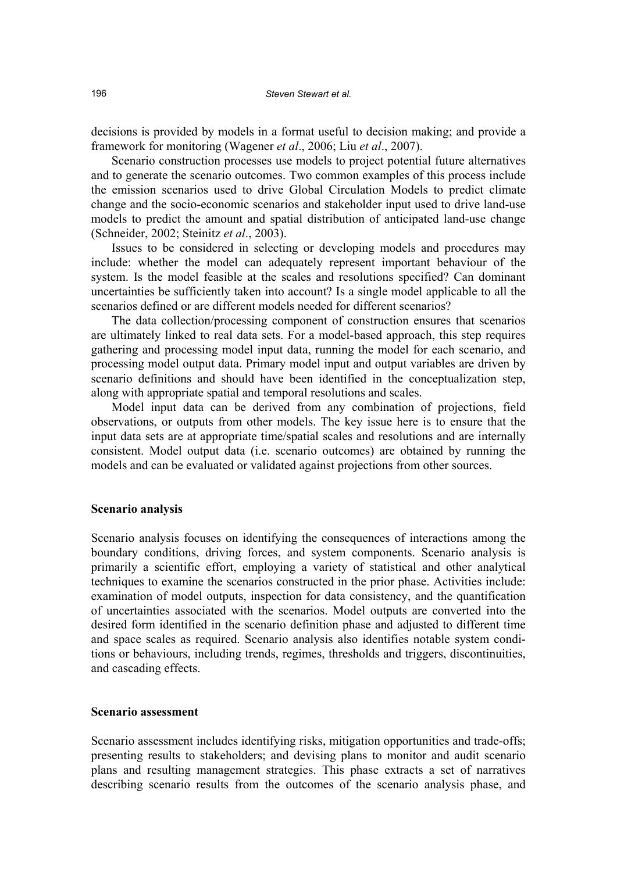decisions is provided by models in a format useful to decision making; and provide a framework for monitoring (Wagener *et al*., 2006; Liu *et al*., 2007).

 Scenario construction processes use models to project potential future alternatives and to generate the scenario outcomes. Two common examples of this process include the emission scenarios used to drive Global Circulation Models to predict climate change and the socio-economic scenarios and stakeholder input used to drive land-use models to predict the amount and spatial distribution of anticipated land-use change (Schneider, 2002; Steinitz *et al*., 2003).

 Issues to be considered in selecting or developing models and procedures may include: whether the model can adequately represent important behaviour of the system. Is the model feasible at the scales and resolutions specified? Can dominant uncertainties be sufficiently taken into account? Is a single model applicable to all the scenarios defined or are different models needed for different scenarios?

 The data collection/processing component of construction ensures that scenarios are ultimately linked to real data sets. For a model-based approach, this step requires gathering and processing model input data, running the model for each scenario, and processing model output data. Primary model input and output variables are driven by scenario definitions and should have been identified in the conceptualization step, along with appropriate spatial and temporal resolutions and scales.

 Model input data can be derived from any combination of projections, field observations, or outputs from other models. The key issue here is to ensure that the input data sets are at appropriate time/spatial scales and resolutions and are internally consistent. Model output data (i.e. scenario outcomes) are obtained by running the models and can be evaluated or validated against projections from other sources.

#### **Scenario analysis**

Scenario analysis focuses on identifying the consequences of interactions among the boundary conditions, driving forces, and system components. Scenario analysis is primarily a scientific effort, employing a variety of statistical and other analytical techniques to examine the scenarios constructed in the prior phase. Activities include: examination of model outputs, inspection for data consistency, and the quantification of uncertainties associated with the scenarios. Model outputs are converted into the desired form identified in the scenario definition phase and adjusted to different time and space scales as required. Scenario analysis also identifies notable system conditions or behaviours, including trends, regimes, thresholds and triggers, discontinuities, and cascading effects.

#### **Scenario assessment**

Scenario assessment includes identifying risks, mitigation opportunities and trade-offs; presenting results to stakeholders; and devising plans to monitor and audit scenario plans and resulting management strategies. This phase extracts a set of narratives describing scenario results from the outcomes of the scenario analysis phase, and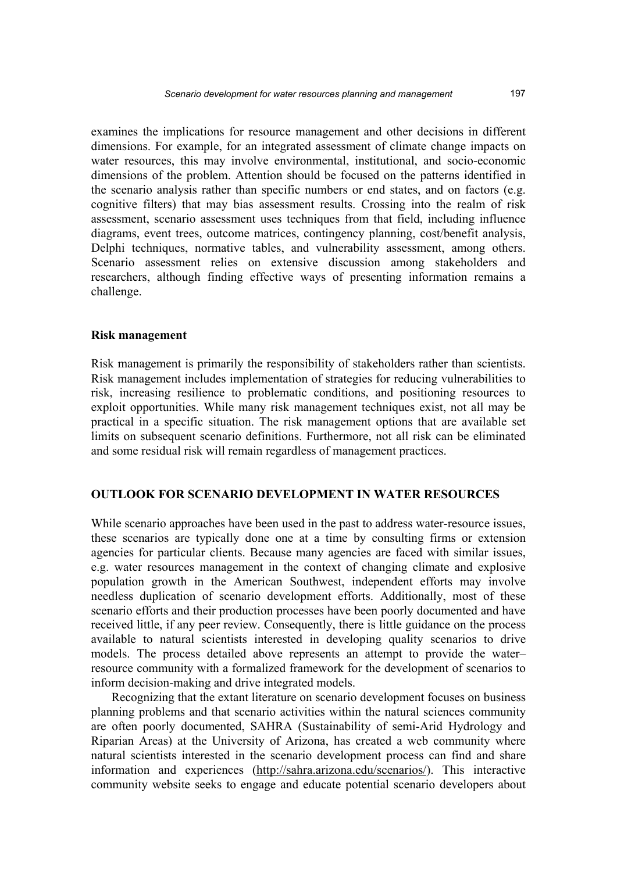examines the implications for resource management and other decisions in different dimensions. For example, for an integrated assessment of climate change impacts on water resources, this may involve environmental, institutional, and socio-economic dimensions of the problem. Attention should be focused on the patterns identified in the scenario analysis rather than specific numbers or end states, and on factors (e.g. cognitive filters) that may bias assessment results. Crossing into the realm of risk assessment, scenario assessment uses techniques from that field, including influence diagrams, event trees, outcome matrices, contingency planning, cost/benefit analysis, Delphi techniques, normative tables, and vulnerability assessment, among others. Scenario assessment relies on extensive discussion among stakeholders and researchers, although finding effective ways of presenting information remains a challenge.

#### **Risk management**

Risk management is primarily the responsibility of stakeholders rather than scientists. Risk management includes implementation of strategies for reducing vulnerabilities to risk, increasing resilience to problematic conditions, and positioning resources to exploit opportunities. While many risk management techniques exist, not all may be practical in a specific situation. The risk management options that are available set limits on subsequent scenario definitions. Furthermore, not all risk can be eliminated and some residual risk will remain regardless of management practices.

#### **OUTLOOK FOR SCENARIO DEVELOPMENT IN WATER RESOURCES**

While scenario approaches have been used in the past to address water-resource issues, these scenarios are typically done one at a time by consulting firms or extension agencies for particular clients. Because many agencies are faced with similar issues, e.g. water resources management in the context of changing climate and explosive population growth in the American Southwest, independent efforts may involve needless duplication of scenario development efforts. Additionally, most of these scenario efforts and their production processes have been poorly documented and have received little, if any peer review. Consequently, there is little guidance on the process available to natural scientists interested in developing quality scenarios to drive models. The process detailed above represents an attempt to provide the water– resource community with a formalized framework for the development of scenarios to inform decision-making and drive integrated models.

 Recognizing that the extant literature on scenario development focuses on business planning problems and that scenario activities within the natural sciences community are often poorly documented, SAHRA (Sustainability of semi-Arid Hydrology and Riparian Areas) at the University of Arizona, has created a web community where natural scientists interested in the scenario development process can find and share information and experiences (http://sahra.arizona.edu/scenarios/). This interactive community website seeks to engage and educate potential scenario developers about